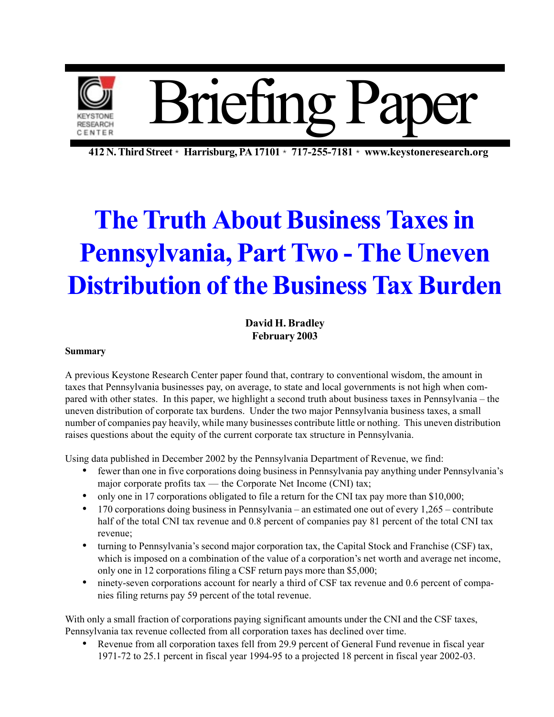

**412 N. Third Street** \* **Harrisburg, PA 17101** \* **717-255-7181** \* **www.keystoneresearch.org**

# **The Truth About Business Taxes in Pennsylvania, Part Two - The Uneven Distribution of the Business Tax Burden**

**David H. Bradley February 2003**

### **Summary**

A previous Keystone Research Center paper found that, contrary to conventional wisdom, the amount in taxes that Pennsylvania businesses pay, on average, to state and local governments is not high when compared with other states. In this paper, we highlight a second truth about business taxes in Pennsylvania – the uneven distribution of corporate tax burdens. Under the two major Pennsylvania business taxes, a small number of companies pay heavily, while many businesses contribute little or nothing. This uneven distribution raises questions about the equity of the current corporate tax structure in Pennsylvania.

Using data published in December 2002 by the Pennsylvania Department of Revenue, we find:

- fewer than one in five corporations doing business in Pennsylvania pay anything under Pennsylvania's major corporate profits tax — the Corporate Net Income (CNI) tax;
- only one in 17 corporations obligated to file a return for the CNI tax pay more than \$10,000;
- 170 corporations doing business in Pennsylvania an estimated one out of every  $1,265$  contribute half of the total CNI tax revenue and 0.8 percent of companies pay 81 percent of the total CNI tax revenue;
- turning to Pennsylvania's second major corporation tax, the Capital Stock and Franchise (CSF) tax, which is imposed on a combination of the value of a corporation's net worth and average net income, only one in 12 corporations filing a CSF return pays more than \$5,000;
- ninety-seven corporations account for nearly a third of CSF tax revenue and 0.6 percent of companies filing returns pay 59 percent of the total revenue.

With only a small fraction of corporations paying significant amounts under the CNI and the CSF taxes, Pennsylvania tax revenue collected from all corporation taxes has declined over time.

• Revenue from all corporation taxes fell from 29.9 percent of General Fund revenue in fiscal year 1971-72 to 25.1 percent in fiscal year 1994-95 to a projected 18 percent in fiscal year 2002-03.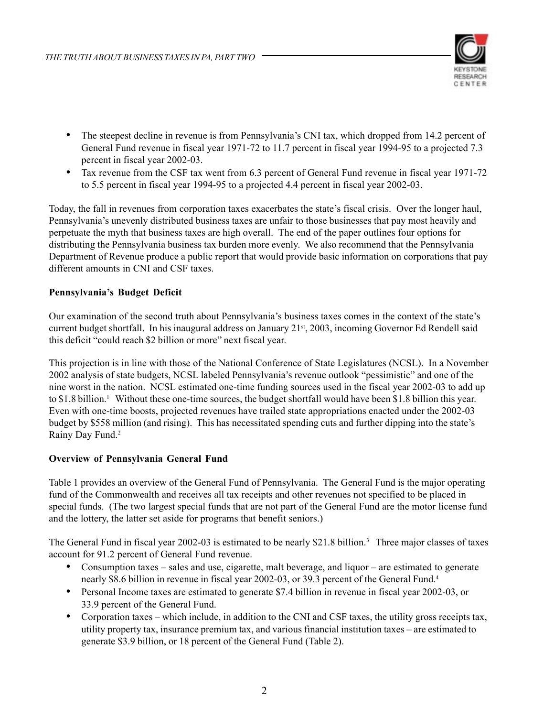

- The steepest decline in revenue is from Pennsylvania's CNI tax, which dropped from 14.2 percent of General Fund revenue in fiscal year 1971-72 to 11.7 percent in fiscal year 1994-95 to a projected 7.3 percent in fiscal year 2002-03.
- Tax revenue from the CSF tax went from 6.3 percent of General Fund revenue in fiscal year 1971-72 to 5.5 percent in fiscal year 1994-95 to a projected 4.4 percent in fiscal year 2002-03.

Today, the fall in revenues from corporation taxes exacerbates the state's fiscal crisis. Over the longer haul, Pennsylvania's unevenly distributed business taxes are unfair to those businesses that pay most heavily and perpetuate the myth that business taxes are high overall. The end of the paper outlines four options for distributing the Pennsylvania business tax burden more evenly. We also recommend that the Pennsylvania Department of Revenue produce a public report that would provide basic information on corporations that pay different amounts in CNI and CSF taxes.

# **Pennsylvania's Budget Deficit**

Our examination of the second truth about Pennsylvania's business taxes comes in the context of the state's current budget shortfall. In his inaugural address on January 21<sup>st</sup>, 2003, incoming Governor Ed Rendell said this deficit "could reach \$2 billion or more" next fiscal year.

This projection is in line with those of the National Conference of State Legislatures (NCSL). In a November 2002 analysis of state budgets, NCSL labeled Pennsylvania's revenue outlook "pessimistic" and one of the nine worst in the nation. NCSL estimated one-time funding sources used in the fiscal year 2002-03 to add up to \$1.8 billion.<sup>1</sup> Without these one-time sources, the budget shortfall would have been \$1.8 billion this year. Even with one-time boosts, projected revenues have trailed state appropriations enacted under the 2002-03 budget by \$558 million (and rising). This has necessitated spending cuts and further dipping into the state's Rainy Day Fund.2

# **Overview of Pennsylvania General Fund**

Table 1 provides an overview of the General Fund of Pennsylvania. The General Fund is the major operating fund of the Commonwealth and receives all tax receipts and other revenues not specified to be placed in special funds. (The two largest special funds that are not part of the General Fund are the motor license fund and the lottery, the latter set aside for programs that benefit seniors.)

The General Fund in fiscal year 2002-03 is estimated to be nearly \$21.8 billion.3 Three major classes of taxes account for 91.2 percent of General Fund revenue.

- Consumption taxes sales and use, cigarette, malt beverage, and liquor are estimated to generate nearly \$8.6 billion in revenue in fiscal year 2002-03, or 39.3 percent of the General Fund.4
- Personal Income taxes are estimated to generate \$7.4 billion in revenue in fiscal year 2002-03, or 33.9 percent of the General Fund.
- Corporation taxes which include, in addition to the CNI and CSF taxes, the utility gross receipts tax, utility property tax, insurance premium tax, and various financial institution taxes – are estimated to generate \$3.9 billion, or 18 percent of the General Fund (Table 2).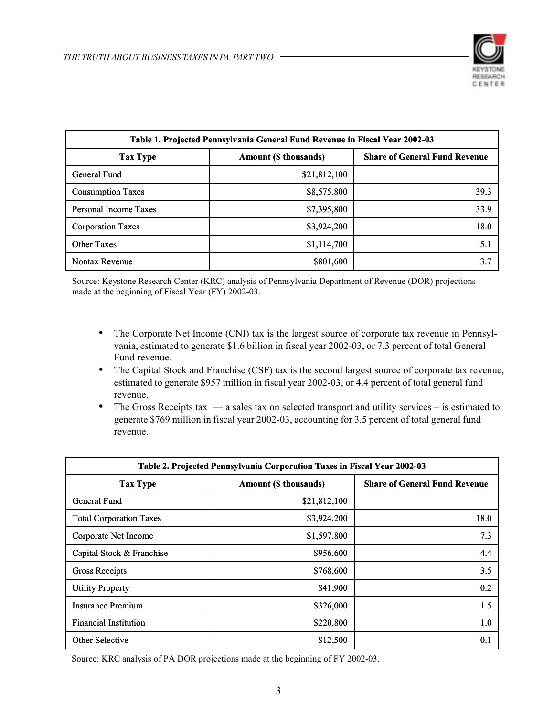

| Table 1. Projected Pennsylvania General Fund Revenue in Fiscal Year 2002-03 |                              |                                      |
|-----------------------------------------------------------------------------|------------------------------|--------------------------------------|
| <b>Tax Type</b>                                                             | <b>Amount (\$ thousands)</b> | <b>Share of General Fund Revenue</b> |
| General Fund                                                                | \$21,812,100                 |                                      |
| <b>Consumption Taxes</b>                                                    | \$8,575,800                  | 39.3                                 |
| Personal Income Taxes                                                       | \$7,395,800                  | 33.9                                 |
| <b>Corporation Taxes</b>                                                    | \$3,924,200                  | 18.0                                 |
| <b>Other Taxes</b>                                                          | \$1,114,700                  | 5.1                                  |
| <b>Nontax Revenue</b>                                                       | \$801,600                    | 3.7                                  |

Source: Keystone Research Center (KRC) analysis of Pennsylvania Department of Revenue (DOR) projections made at the beginning of Fiscal Year (FY) 2002-03.

- The Corporate Net Income (CNI) tax is the largest source of corporate tax revenue in Pennsylvania, estimated to generate \$1.6 billion in fiscal year 2002-03, or 7.3 percent of total General Fund revenue.
- The Capital Stock and Franchise (CSF) tax is the second largest source of corporate tax revenue, estimated to generate \$957 million in fiscal year 2002-03, or 4.4 percent of total general fund revenue.
- The Gross Receipts tax a sales tax on selected transport and utility services is estimated to generate \$769 million in fiscal year 2002-03, accounting for 3.5 percent of total general fund revenue.

| Table 2. Projected Pennsylvania Corporation Taxes in Fiscal Year 2002-03 |                              |                                      |
|--------------------------------------------------------------------------|------------------------------|--------------------------------------|
| <b>Tax Type</b>                                                          | <b>Amount (\$ thousands)</b> | <b>Share of General Fund Revenue</b> |
| General Fund                                                             | \$21,812,100                 |                                      |
| <b>Total Corporation Taxes</b>                                           | \$3,924,200                  | 18.0                                 |
| Corporate Net Income                                                     | \$1,597,800                  | 7.3                                  |
| Capital Stock & Franchise                                                | \$956,600                    | 4.4                                  |
| <b>Gross Receipts</b>                                                    | \$768,600                    | 3.5                                  |
| <b>Utility Property</b>                                                  | \$41,900                     | 0.2                                  |
| <b>Insurance Premium</b>                                                 | \$326,000                    | 1.5                                  |
| <b>Financial Institution</b>                                             | \$220,800                    | 1.0                                  |
| <b>Other Selective</b>                                                   | \$12,500                     | 0.1                                  |

Source: KRC analysis of PA DOR projections made at the beginning of FY 2002-03.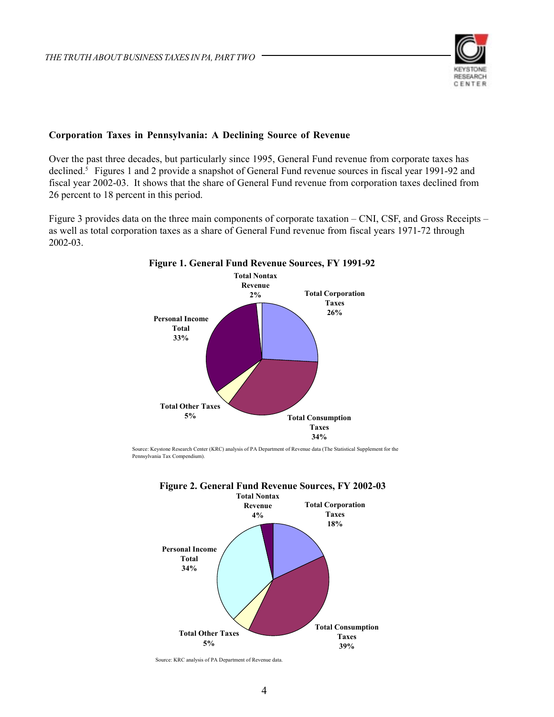

#### **Corporation Taxes in Pennsylvania: A Declining Source of Revenue**

Over the past three decades, but particularly since 1995, General Fund revenue from corporate taxes has declined.5 Figures 1 and 2 provide a snapshot of General Fund revenue sources in fiscal year 1991-92 and fiscal year 2002-03. It shows that the share of General Fund revenue from corporation taxes declined from 26 percent to 18 percent in this period.

Figure 3 provides data on the three main components of corporate taxation – CNI, CSF, and Gross Receipts – as well as total corporation taxes as a share of General Fund revenue from fiscal years 1971-72 through 2002-03.



**Figure 1. General Fund Revenue Sources, FY 1991-92**

Source: Keystone Research Center (KRC) analysis of PA Department of Revenue data (The Statistical Supplement for the Pennsylvania Tax Compendium).



Source: KRC analysis of PA Department of Revenue data.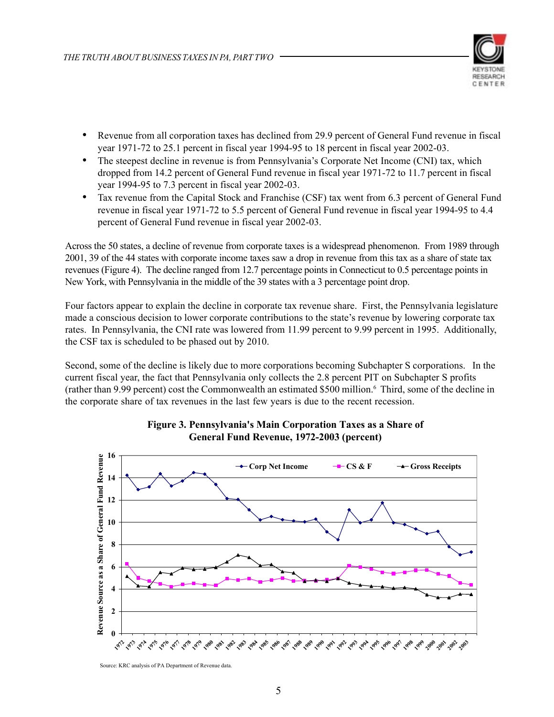

- Revenue from all corporation taxes has declined from 29.9 percent of General Fund revenue in fiscal year 1971-72 to 25.1 percent in fiscal year 1994-95 to 18 percent in fiscal year 2002-03.
- The steepest decline in revenue is from Pennsylvania's Corporate Net Income (CNI) tax, which dropped from 14.2 percent of General Fund revenue in fiscal year 1971-72 to 11.7 percent in fiscal year 1994-95 to 7.3 percent in fiscal year 2002-03.
- Tax revenue from the Capital Stock and Franchise (CSF) tax went from 6.3 percent of General Fund revenue in fiscal year 1971-72 to 5.5 percent of General Fund revenue in fiscal year 1994-95 to 4.4 percent of General Fund revenue in fiscal year 2002-03.

Across the 50 states, a decline of revenue from corporate taxes is a widespread phenomenon. From 1989 through 2001, 39 of the 44 states with corporate income taxes saw a drop in revenue from this tax as a share of state tax revenues (Figure 4). The decline ranged from 12.7 percentage points in Connecticut to 0.5 percentage points in New York, with Pennsylvania in the middle of the 39 states with a 3 percentage point drop.

Four factors appear to explain the decline in corporate tax revenue share. First, the Pennsylvania legislature made a conscious decision to lower corporate contributions to the state's revenue by lowering corporate tax rates. In Pennsylvania, the CNI rate was lowered from 11.99 percent to 9.99 percent in 1995. Additionally, the CSF tax is scheduled to be phased out by 2010.

Second, some of the decline is likely due to more corporations becoming Subchapter S corporations. In the current fiscal year, the fact that Pennsylvania only collects the 2.8 percent PIT on Subchapter S profits (rather than 9.99 percent) cost the Commonwealth an estimated \$500 million.6 Third, some of the decline in the corporate share of tax revenues in the last few years is due to the recent recession.



# **Figure 3. Pennsylvania's Main Corporation Taxes as a Share of General Fund Revenue, 1972-2003 (percent)**

Source: KRC analysis of PA Department of Revenue data.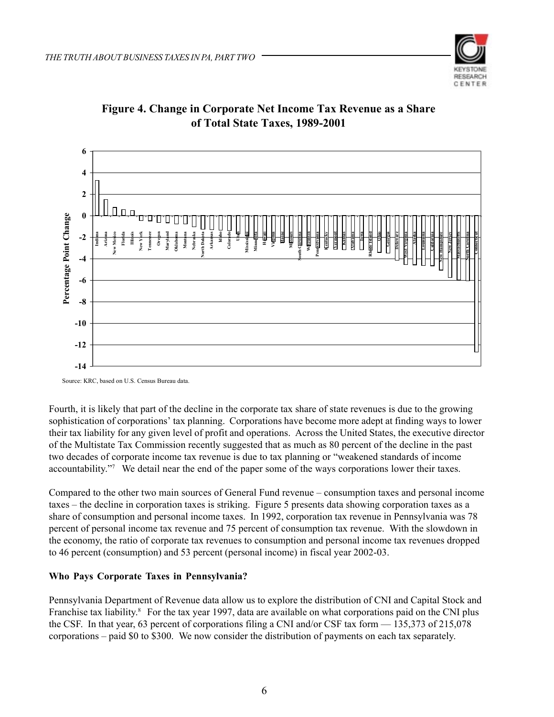





Source: KRC, based on U.S. Census Bureau data.

Fourth, it is likely that part of the decline in the corporate tax share of state revenues is due to the growing sophistication of corporations' tax planning. Corporations have become more adept at finding ways to lower their tax liability for any given level of profit and operations. Across the United States, the executive director of the Multistate Tax Commission recently suggested that as much as 80 percent of the decline in the past two decades of corporate income tax revenue is due to tax planning or "weakened standards of income accountability."7 We detail near the end of the paper some of the ways corporations lower their taxes.

Compared to the other two main sources of General Fund revenue – consumption taxes and personal income taxes – the decline in corporation taxes is striking. Figure 5 presents data showing corporation taxes as a share of consumption and personal income taxes. In 1992, corporation tax revenue in Pennsylvania was 78 percent of personal income tax revenue and 75 percent of consumption tax revenue. With the slowdown in the economy, the ratio of corporate tax revenues to consumption and personal income tax revenues dropped to 46 percent (consumption) and 53 percent (personal income) in fiscal year 2002-03.

### **Who Pays Corporate Taxes in Pennsylvania?**

Pennsylvania Department of Revenue data allow us to explore the distribution of CNI and Capital Stock and Franchise tax liability.<sup>8</sup> For the tax year 1997, data are available on what corporations paid on the CNI plus the CSF. In that year, 63 percent of corporations filing a CNI and/or CSF tax form — 135,373 of 215,078 corporations – paid \$0 to \$300. We now consider the distribution of payments on each tax separately.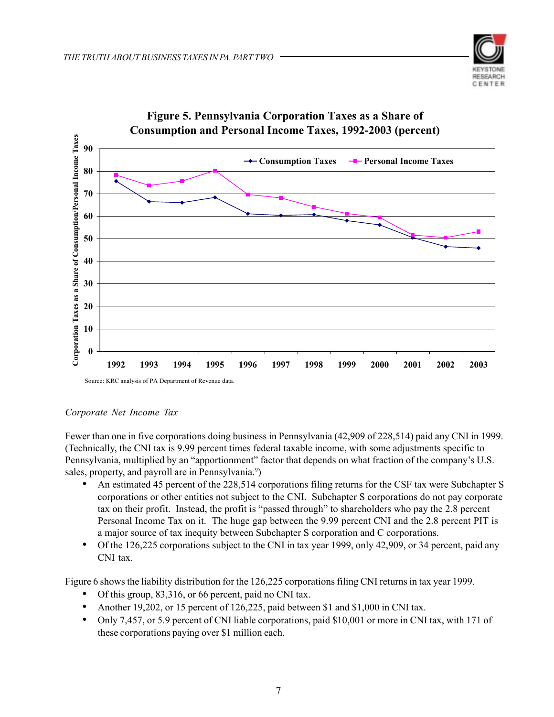



# **Figure 5. Pennsylvania Corporation Taxes as a Share of**

### *Corporate Net Income Tax*

Fewer than one in five corporations doing business in Pennsylvania (42,909 of 228,514) paid any CNI in 1999. (Technically, the CNI tax is 9.99 percent times federal taxable income, with some adjustments specific to Pennsylvania, multiplied by an "apportionment" factor that depends on what fraction of the company's U.S. sales, property, and payroll are in Pennsylvania.<sup>9</sup>)

- An estimated 45 percent of the 228,514 corporations filing returns for the CSF tax were Subchapter S corporations or other entities not subject to the CNI. Subchapter S corporations do not pay corporate tax on their profit. Instead, the profit is "passed through" to shareholders who pay the 2.8 percent Personal Income Tax on it. The huge gap between the 9.99 percent CNI and the 2.8 percent PIT is a major source of tax inequity between Subchapter S corporation and C corporations.
- Of the 126,225 corporations subject to the CNI in tax year 1999, only 42,909, or 34 percent, paid any CNI tax.

Figure 6 shows the liability distribution for the 126,225 corporations filing CNI returns in tax year 1999.

- Of this group, 83,316, or 66 percent, paid no CNI tax.
- Another 19,202, or 15 percent of 126,225, paid between \$1 and \$1,000 in CNI tax.
- Only 7,457, or 5.9 percent of CNI liable corporations, paid \$10,001 or more in CNI tax, with 171 of these corporations paying over \$1 million each.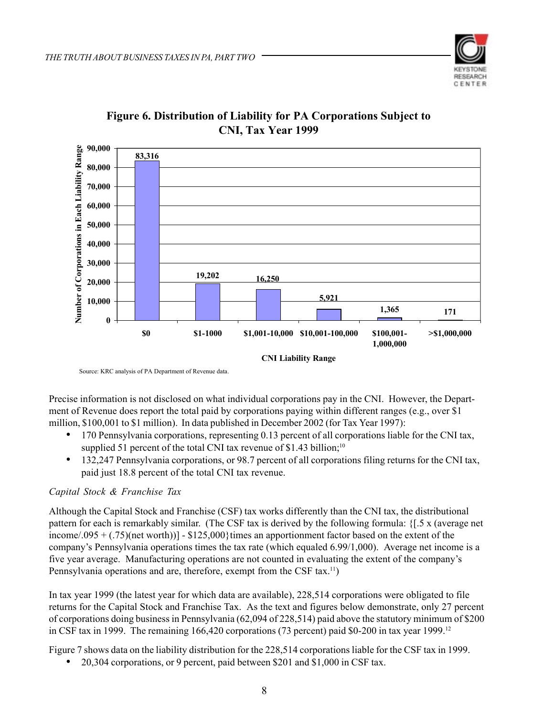



# **Figure 6. Distribution of Liability for PA Corporations Subject to CNI, Tax Year 1999**

Source: KRC analysis of PA Department of Revenue data.

Precise information is not disclosed on what individual corporations pay in the CNI. However, the Department of Revenue does report the total paid by corporations paying within different ranges (e.g., over \$1 million, \$100,001 to \$1 million). In data published in December 2002 (for Tax Year 1997):

- 170 Pennsylvania corporations, representing 0.13 percent of all corporations liable for the CNI tax, supplied 51 percent of the total CNI tax revenue of \$1.43 billion;<sup>10</sup>
- 132,247 Pennsylvania corporations, or 98.7 percent of all corporations filing returns for the CNI tax, paid just 18.8 percent of the total CNI tax revenue.

# *Capital Stock & Franchise Tax*

Although the Capital Stock and Franchise (CSF) tax works differently than the CNI tax, the distributional pattern for each is remarkably similar. (The CSF tax is derived by the following formula: {[.5 x (average net income/.095 + (.75)(net worth))] - \$125,000}times an apportionment factor based on the extent of the company's Pennsylvania operations times the tax rate (which equaled 6.99/1,000). Average net income is a five year average. Manufacturing operations are not counted in evaluating the extent of the company's Pennsylvania operations and are, therefore, exempt from the CSF tax.<sup>11</sup>)

In tax year 1999 (the latest year for which data are available), 228,514 corporations were obligated to file returns for the Capital Stock and Franchise Tax. As the text and figures below demonstrate, only 27 percent of corporations doing business in Pennsylvania (62,094 of 228,514) paid above the statutory minimum of \$200 in CSF tax in 1999. The remaining 166,420 corporations (73 percent) paid \$0-200 in tax year 1999.12

Figure 7 shows data on the liability distribution for the 228,514 corporations liable for the CSF tax in 1999.

• 20,304 corporations, or 9 percent, paid between \$201 and \$1,000 in CSF tax.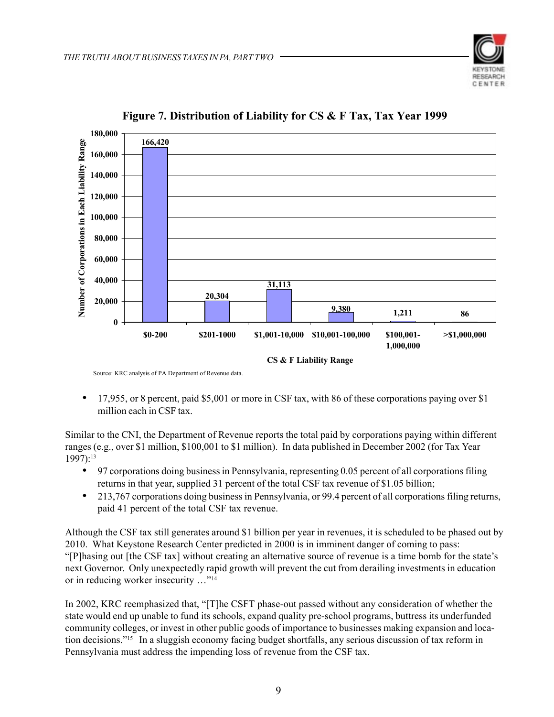



**Figure 7. Distribution of Liability for CS & F Tax, Tax Year 1999**

Source: KRC analysis of PA Department of Revenue data.

• 17,955, or 8 percent, paid \$5,001 or more in CSF tax, with 86 of these corporations paying over \$1 million each in CSF tax.

Similar to the CNI, the Department of Revenue reports the total paid by corporations paying within different ranges (e.g., over \$1 million, \$100,001 to \$1 million). In data published in December 2002 (for Tax Year 1997):13

- 97 corporations doing business in Pennsylvania, representing 0.05 percent of all corporations filing returns in that year, supplied 31 percent of the total CSF tax revenue of \$1.05 billion;
- 213,767 corporations doing business in Pennsylvania, or 99.4 percent of all corporations filing returns, paid 41 percent of the total CSF tax revenue.

Although the CSF tax still generates around \$1 billion per year in revenues, it is scheduled to be phased out by 2010. What Keystone Research Center predicted in 2000 is in imminent danger of coming to pass: "[P]hasing out [the CSF tax] without creating an alternative source of revenue is a time bomb for the state's next Governor. Only unexpectedly rapid growth will prevent the cut from derailing investments in education or in reducing worker insecurity …"14

In 2002, KRC reemphasized that, "[T]he CSFT phase-out passed without any consideration of whether the state would end up unable to fund its schools, expand quality pre-school programs, buttress its underfunded community colleges, or invest in other public goods of importance to businesses making expansion and location decisions."15 In a sluggish economy facing budget shortfalls, any serious discussion of tax reform in Pennsylvania must address the impending loss of revenue from the CSF tax.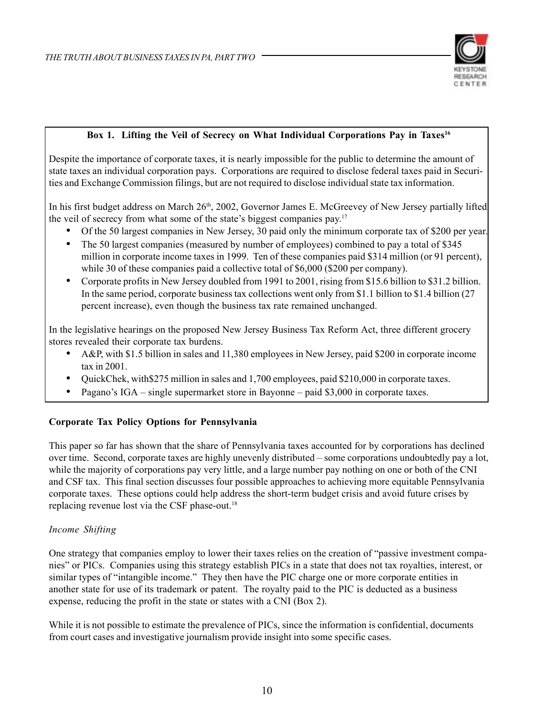

# Box 1. Lifting the Veil of Secrecy on What Individual Corporations Pay in Taxes<sup>16</sup>

Despite the importance of corporate taxes, it is nearly impossible for the public to determine the amount of state taxes an individual corporation pays. Corporations are required to disclose federal taxes paid in Securities and Exchange Commission filings, but are not required to disclose individual state tax information.

In his first budget address on March 26<sup>th</sup>, 2002, Governor James E. McGreevey of New Jersey partially lifted the veil of secrecy from what some of the state's biggest companies pay.17

- Of the 50 largest companies in New Jersey, 30 paid only the minimum corporate tax of \$200 per year.
- The 50 largest companies (measured by number of employees) combined to pay a total of \$345 million in corporate income taxes in 1999. Ten of these companies paid \$314 million (or 91 percent), while 30 of these companies paid a collective total of \$6,000 (\$200 per company).
- Corporate profits in New Jersey doubled from 1991 to 2001, rising from \$15.6 billion to \$31.2 billion. In the same period, corporate business tax collections went only from \$1.1 billion to \$1.4 billion (27 percent increase), even though the business tax rate remained unchanged.

In the legislative hearings on the proposed New Jersey Business Tax Reform Act, three different grocery stores revealed their corporate tax burdens.

- A&P, with \$1.5 billion in sales and 11,380 employees in New Jersey, paid \$200 in corporate income tax in 2001.
- QuickChek, with\$275 million in sales and 1,700 employees, paid \$210,000 in corporate taxes.
- Pagano's IGA single supermarket store in Bayonne paid \$3,000 in corporate taxes.

# **Corporate Tax Policy Options for Pennsylvania**

This paper so far has shown that the share of Pennsylvania taxes accounted for by corporations has declined over time. Second, corporate taxes are highly unevenly distributed – some corporations undoubtedly pay a lot, while the majority of corporations pay very little, and a large number pay nothing on one or both of the CNI and CSF tax. This final section discusses four possible approaches to achieving more equitable Pennsylvania corporate taxes. These options could help address the short-term budget crisis and avoid future crises by replacing revenue lost via the CSF phase-out.18

### *Income Shifting*

One strategy that companies employ to lower their taxes relies on the creation of "passive investment companies" or PICs. Companies using this strategy establish PICs in a state that does not tax royalties, interest, or similar types of "intangible income." They then have the PIC charge one or more corporate entities in another state for use of its trademark or patent. The royalty paid to the PIC is deducted as a business expense, reducing the profit in the state or states with a CNI (Box 2).

While it is not possible to estimate the prevalence of PICs, since the information is confidential, documents from court cases and investigative journalism provide insight into some specific cases.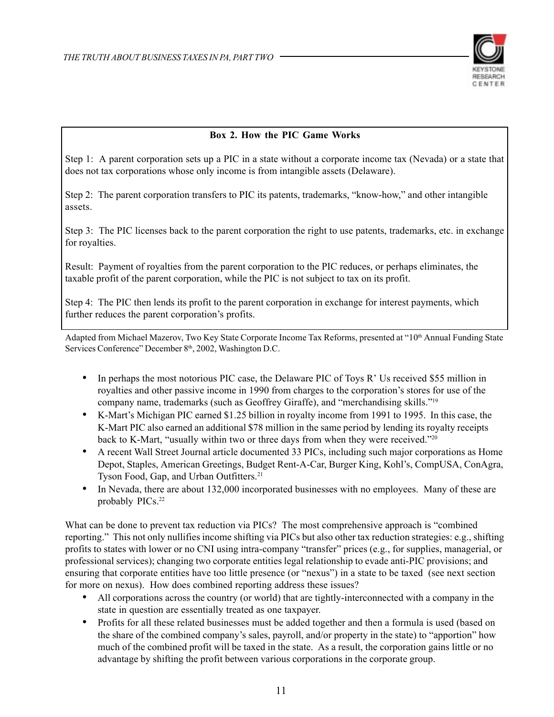

# **Box 2. How the PIC Game Works**

Step 1: A parent corporation sets up a PIC in a state without a corporate income tax (Nevada) or a state that does not tax corporations whose only income is from intangible assets (Delaware).

Step 2: The parent corporation transfers to PIC its patents, trademarks, "know-how," and other intangible assets.

Step 3: The PIC licenses back to the parent corporation the right to use patents, trademarks, etc. in exchange for royalties.

Result: Payment of royalties from the parent corporation to the PIC reduces, or perhaps eliminates, the taxable profit of the parent corporation, while the PIC is not subject to tax on its profit.

Step 4: The PIC then lends its profit to the parent corporation in exchange for interest payments, which further reduces the parent corporation's profits.

Adapted from Michael Mazerov, Two Key State Corporate Income Tax Reforms, presented at "10<sup>th</sup> Annual Funding State Services Conference" December 8<sup>th</sup>, 2002, Washington D.C.

- In perhaps the most notorious PIC case, the Delaware PIC of Toys R' Us received \$55 million in royalties and other passive income in 1990 from charges to the corporation's stores for use of the company name, trademarks (such as Geoffrey Giraffe), and "merchandising skills."19
- K-Mart's Michigan PIC earned \$1.25 billion in royalty income from 1991 to 1995. In this case, the K-Mart PIC also earned an additional \$78 million in the same period by lending its royalty receipts back to K-Mart, "usually within two or three days from when they were received."<sup>20</sup>
- A recent Wall Street Journal article documented 33 PICs, including such major corporations as Home Depot, Staples, American Greetings, Budget Rent-A-Car, Burger King, Kohl's, CompUSA, ConAgra, Tyson Food, Gap, and Urban Outfitters.<sup>21</sup>
- In Nevada, there are about 132,000 incorporated businesses with no employees. Many of these are probably PICs.<sup>22</sup>

What can be done to prevent tax reduction via PICs? The most comprehensive approach is "combined" reporting." This not only nullifies income shifting via PICs but also other tax reduction strategies: e.g., shifting profits to states with lower or no CNI using intra-company "transfer" prices (e.g., for supplies, managerial, or professional services); changing two corporate entities legal relationship to evade anti-PIC provisions; and ensuring that corporate entities have too little presence (or "nexus") in a state to be taxed (see next section for more on nexus). How does combined reporting address these issues?

- All corporations across the country (or world) that are tightly-interconnected with a company in the state in question are essentially treated as one taxpayer.
- Profits for all these related businesses must be added together and then a formula is used (based on the share of the combined company's sales, payroll, and/or property in the state) to "apportion" how much of the combined profit will be taxed in the state. As a result, the corporation gains little or no advantage by shifting the profit between various corporations in the corporate group.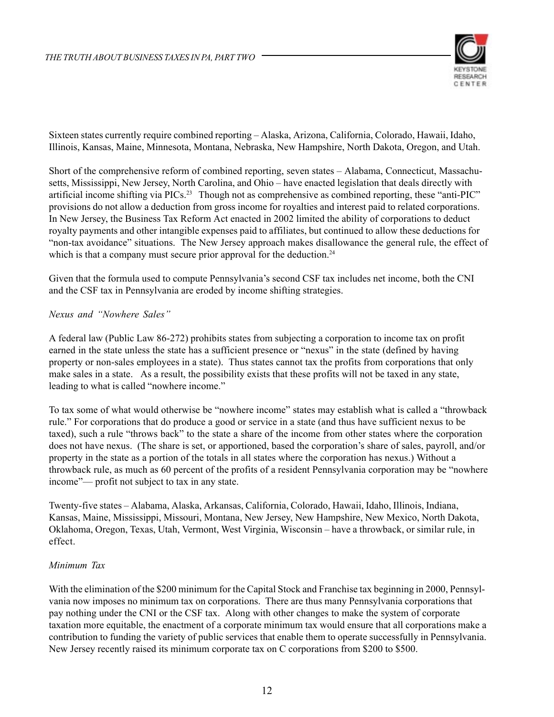

Sixteen states currently require combined reporting – Alaska, Arizona, California, Colorado, Hawaii, Idaho, Illinois, Kansas, Maine, Minnesota, Montana, Nebraska, New Hampshire, North Dakota, Oregon, and Utah.

Short of the comprehensive reform of combined reporting, seven states – Alabama, Connecticut, Massachusetts, Mississippi, New Jersey, North Carolina, and Ohio – have enacted legislation that deals directly with artificial income shifting via PICs.<sup>23</sup> Though not as comprehensive as combined reporting, these "anti-PIC" provisions do not allow a deduction from gross income for royalties and interest paid to related corporations. In New Jersey, the Business Tax Reform Act enacted in 2002 limited the ability of corporations to deduct royalty payments and other intangible expenses paid to affiliates, but continued to allow these deductions for "non-tax avoidance" situations. The New Jersey approach makes disallowance the general rule, the effect of which is that a company must secure prior approval for the deduction.<sup>24</sup>

Given that the formula used to compute Pennsylvania's second CSF tax includes net income, both the CNI and the CSF tax in Pennsylvania are eroded by income shifting strategies.

# *Nexus and "Nowhere Sales"*

A federal law (Public Law 86-272) prohibits states from subjecting a corporation to income tax on profit earned in the state unless the state has a sufficient presence or "nexus" in the state (defined by having property or non-sales employees in a state). Thus states cannot tax the profits from corporations that only make sales in a state. As a result, the possibility exists that these profits will not be taxed in any state, leading to what is called "nowhere income."

To tax some of what would otherwise be "nowhere income" states may establish what is called a "throwback rule." For corporations that do produce a good or service in a state (and thus have sufficient nexus to be taxed), such a rule "throws back" to the state a share of the income from other states where the corporation does not have nexus. (The share is set, or apportioned, based the corporation's share of sales, payroll, and/or property in the state as a portion of the totals in all states where the corporation has nexus.) Without a throwback rule, as much as 60 percent of the profits of a resident Pennsylvania corporation may be "nowhere income"— profit not subject to tax in any state.

Twenty-five states – Alabama, Alaska, Arkansas, California, Colorado, Hawaii, Idaho, Illinois, Indiana, Kansas, Maine, Mississippi, Missouri, Montana, New Jersey, New Hampshire, New Mexico, North Dakota, Oklahoma, Oregon, Texas, Utah, Vermont, West Virginia, Wisconsin – have a throwback, or similar rule, in effect.

### *Minimum Tax*

With the elimination of the \$200 minimum for the Capital Stock and Franchise tax beginning in 2000, Pennsylvania now imposes no minimum tax on corporations. There are thus many Pennsylvania corporations that pay nothing under the CNI or the CSF tax. Along with other changes to make the system of corporate taxation more equitable, the enactment of a corporate minimum tax would ensure that all corporations make a contribution to funding the variety of public services that enable them to operate successfully in Pennsylvania. New Jersey recently raised its minimum corporate tax on C corporations from \$200 to \$500.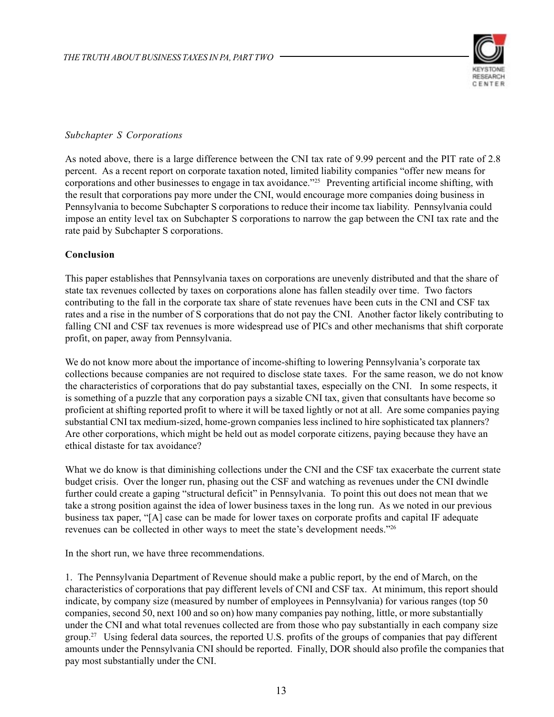

# *Subchapter S Corporations*

As noted above, there is a large difference between the CNI tax rate of 9.99 percent and the PIT rate of 2.8 percent. As a recent report on corporate taxation noted, limited liability companies "offer new means for corporations and other businesses to engage in tax avoidance."25 Preventing artificial income shifting, with the result that corporations pay more under the CNI, would encourage more companies doing business in Pennsylvania to become Subchapter S corporations to reduce their income tax liability. Pennsylvania could impose an entity level tax on Subchapter S corporations to narrow the gap between the CNI tax rate and the rate paid by Subchapter S corporations.

# **Conclusion**

This paper establishes that Pennsylvania taxes on corporations are unevenly distributed and that the share of state tax revenues collected by taxes on corporations alone has fallen steadily over time. Two factors contributing to the fall in the corporate tax share of state revenues have been cuts in the CNI and CSF tax rates and a rise in the number of S corporations that do not pay the CNI. Another factor likely contributing to falling CNI and CSF tax revenues is more widespread use of PICs and other mechanisms that shift corporate profit, on paper, away from Pennsylvania.

We do not know more about the importance of income-shifting to lowering Pennsylvania's corporate tax collections because companies are not required to disclose state taxes. For the same reason, we do not know the characteristics of corporations that do pay substantial taxes, especially on the CNI. In some respects, it is something of a puzzle that any corporation pays a sizable CNI tax, given that consultants have become so proficient at shifting reported profit to where it will be taxed lightly or not at all. Are some companies paying substantial CNI tax medium-sized, home-grown companies less inclined to hire sophisticated tax planners? Are other corporations, which might be held out as model corporate citizens, paying because they have an ethical distaste for tax avoidance?

What we do know is that diminishing collections under the CNI and the CSF tax exacerbate the current state budget crisis. Over the longer run, phasing out the CSF and watching as revenues under the CNI dwindle further could create a gaping "structural deficit" in Pennsylvania. To point this out does not mean that we take a strong position against the idea of lower business taxes in the long run. As we noted in our previous business tax paper, "[A] case can be made for lower taxes on corporate profits and capital IF adequate revenues can be collected in other ways to meet the state's development needs."26

In the short run, we have three recommendations.

1. The Pennsylvania Department of Revenue should make a public report, by the end of March, on the characteristics of corporations that pay different levels of CNI and CSF tax. At minimum, this report should indicate, by company size (measured by number of employees in Pennsylvania) for various ranges (top 50 companies, second 50, next 100 and so on) how many companies pay nothing, little, or more substantially under the CNI and what total revenues collected are from those who pay substantially in each company size group.<sup>27</sup> Using federal data sources, the reported U.S. profits of the groups of companies that pay different amounts under the Pennsylvania CNI should be reported. Finally, DOR should also profile the companies that pay most substantially under the CNI.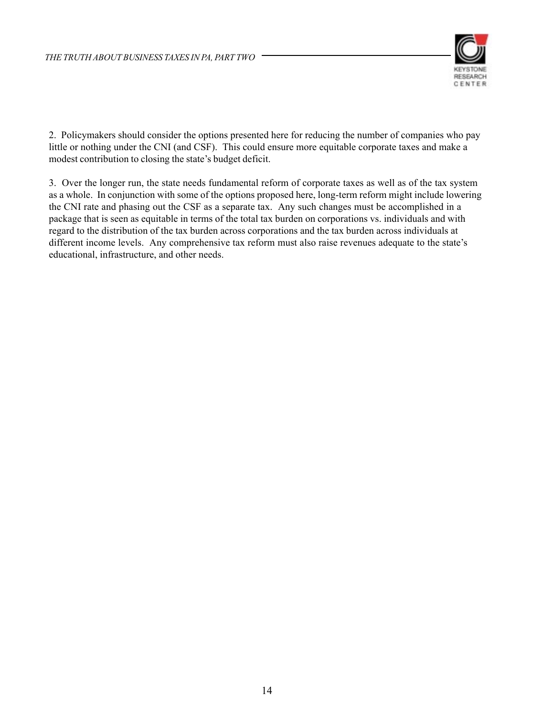

2. Policymakers should consider the options presented here for reducing the number of companies who pay little or nothing under the CNI (and CSF). This could ensure more equitable corporate taxes and make a modest contribution to closing the state's budget deficit.

3. Over the longer run, the state needs fundamental reform of corporate taxes as well as of the tax system as a whole. In conjunction with some of the options proposed here, long-term reform might include lowering the CNI rate and phasing out the CSF as a separate tax. Any such changes must be accomplished in a package that is seen as equitable in terms of the total tax burden on corporations vs. individuals and with regard to the distribution of the tax burden across corporations and the tax burden across individuals at different income levels. Any comprehensive tax reform must also raise revenues adequate to the state's educational, infrastructure, and other needs.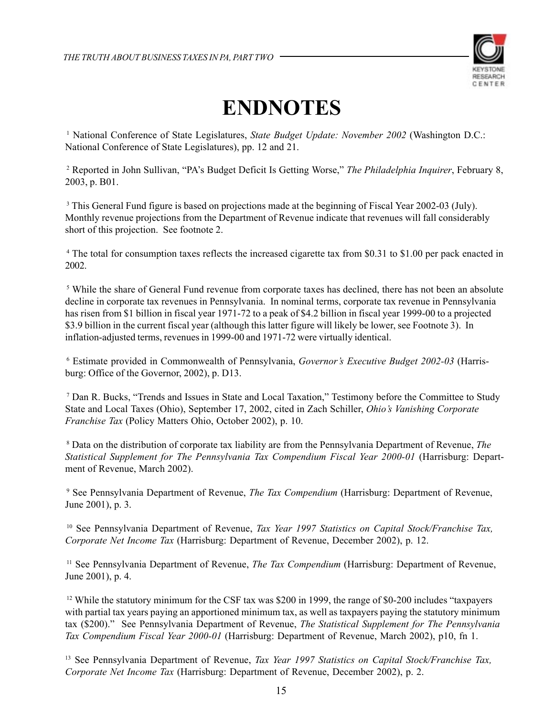

# **ENDNOTES**

<sup>1</sup> National Conference of State Legislatures, State Budget Update: November 2002 (Washington D.C.: National Conference of State Legislatures), pp. 12 and 21.

2 Reported in John Sullivan, "PA's Budget Deficit Is Getting Worse," *The Philadelphia Inquirer*, February 8, 2003, p. B01.

<sup>3</sup> This General Fund figure is based on projections made at the beginning of Fiscal Year 2002-03 (July). Monthly revenue projections from the Department of Revenue indicate that revenues will fall considerably short of this projection. See footnote 2.

<sup>4</sup> The total for consumption taxes reflects the increased cigarette tax from \$0.31 to \$1.00 per pack enacted in 2002.

<sup>5</sup> While the share of General Fund revenue from corporate taxes has declined, there has not been an absolute decline in corporate tax revenues in Pennsylvania. In nominal terms, corporate tax revenue in Pennsylvania has risen from \$1 billion in fiscal year 1971-72 to a peak of \$4.2 billion in fiscal year 1999-00 to a projected \$3.9 billion in the current fiscal year (although this latter figure will likely be lower, see Footnote 3). In inflation-adjusted terms, revenues in 1999-00 and 1971-72 were virtually identical.

6 Estimate provided in Commonwealth of Pennsylvania, *Governor's Executive Budget 2002-03* (Harrisburg: Office of the Governor, 2002), p. D13.

<sup>7</sup> Dan R. Bucks, "Trends and Issues in State and Local Taxation," Testimony before the Committee to Study State and Local Taxes (Ohio), September 17, 2002, cited in Zach Schiller, *Ohio's Vanishing Corporate Franchise Tax* (Policy Matters Ohio, October 2002), p. 10.

8 Data on the distribution of corporate tax liability are from the Pennsylvania Department of Revenue, *The Statistical Supplement for The Pennsylvania Tax Compendium Fiscal Year 2000-01* (Harrisburg: Department of Revenue, March 2002).

9 See Pennsylvania Department of Revenue, *The Tax Compendium* (Harrisburg: Department of Revenue, June 2001), p. 3.

10 See Pennsylvania Department of Revenue, *Tax Year 1997 Statistics on Capital Stock/Franchise Tax, Corporate Net Income Tax* (Harrisburg: Department of Revenue, December 2002), p. 12.

<sup>11</sup> See Pennsylvania Department of Revenue, *The Tax Compendium* (Harrisburg: Department of Revenue, June 2001), p. 4.

<sup>12</sup> While the statutory minimum for the CSF tax was \$200 in 1999, the range of \$0-200 includes "taxpayers" with partial tax years paying an apportioned minimum tax, as well as taxpayers paying the statutory minimum tax (\$200)." See Pennsylvania Department of Revenue, *The Statistical Supplement for The Pennsylvania Tax Compendium Fiscal Year 2000-01* (Harrisburg: Department of Revenue, March 2002), p10, fn 1.

13 See Pennsylvania Department of Revenue, *Tax Year 1997 Statistics on Capital Stock/Franchise Tax, Corporate Net Income Tax* (Harrisburg: Department of Revenue, December 2002), p. 2.